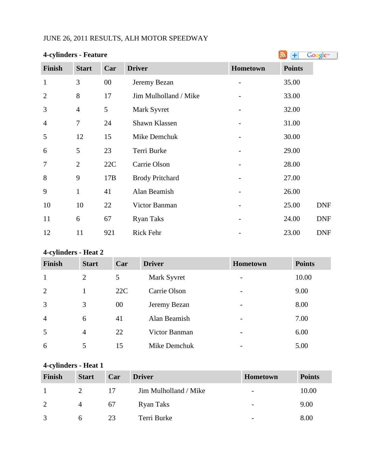## JUNE 26, 2011 RESULTS, ALH MOTOR SPEEDWAY

| <b>4-cylinders - Feature</b> |                | Google <sup>®</sup><br>Ŧ |                        |                 |               |            |  |
|------------------------------|----------------|--------------------------|------------------------|-----------------|---------------|------------|--|
| <b>Finish</b>                | <b>Start</b>   | Car                      | <b>Driver</b>          | Hometown        | <b>Points</b> |            |  |
| $\mathbf{1}$                 | 3              | $00\,$                   | Jeremy Bezan           | $\qquad \qquad$ | 35.00         |            |  |
| $\overline{2}$               | 8              | 17                       | Jim Mulholland / Mike  |                 | 33.00         |            |  |
| 3                            | $\overline{4}$ | 5                        | Mark Syvret            |                 | 32.00         |            |  |
| 4                            | $\tau$         | 24                       | Shawn Klassen          |                 | 31.00         |            |  |
| 5                            | 12             | 15                       | Mike Demchuk           |                 | 30.00         |            |  |
| 6                            | 5              | 23                       | Terri Burke            |                 | 29.00         |            |  |
| 7                            | $\overline{2}$ | 22C                      | Carrie Olson           |                 | 28.00         |            |  |
| 8                            | 9              | 17B                      | <b>Brody Pritchard</b> |                 | 27.00         |            |  |
| 9                            | $\mathbf{1}$   | 41                       | Alan Beamish           |                 | 26.00         |            |  |
| 10                           | 10             | 22                       | Victor Banman          |                 | 25.00         | <b>DNF</b> |  |
| 11                           | 6              | 67                       | <b>Ryan Taks</b>       |                 | 24.00         | <b>DNF</b> |  |
| 12                           | 11             | 921                      | Rick Fehr              |                 | 23.00         | <b>DNF</b> |  |

# **4-cylinders - Heat 2**

| Finish         | <b>Start</b>   | Car | <b>Driver</b> | <b>Hometown</b>          | <b>Points</b> |
|----------------|----------------|-----|---------------|--------------------------|---------------|
| 1              | $\overline{2}$ | 5   | Mark Syvret   | -                        | 10.00         |
| 2              |                | 22C | Carrie Olson  | $\overline{\phantom{0}}$ | 9.00          |
| $\overline{3}$ | 3              | 00  | Jeremy Bezan  | -                        | 8.00          |
| $\overline{4}$ | 6              | 41  | Alan Beamish  | $\overline{\phantom{a}}$ | 7.00          |
| 5              | $\overline{4}$ | 22  | Victor Banman | -                        | 6.00          |
| 6              | 5              | 15  | Mike Demchuk  | $\overline{\phantom{0}}$ | 5.00          |

## **4-cylinders - Heat 1**

| <b>Finish</b> | <b>Start</b> | Car | <b>Driver</b>         | Hometown                 | <b>Points</b> |
|---------------|--------------|-----|-----------------------|--------------------------|---------------|
|               |              | 17  | Jim Mulholland / Mike | $\overline{\phantom{a}}$ | 10.00         |
| 2             | 4            | 67  | Ryan Taks             | $\overline{\phantom{a}}$ | 9.00          |
|               |              | 23  | Terri Burke           | $\overline{\phantom{0}}$ | 8.00          |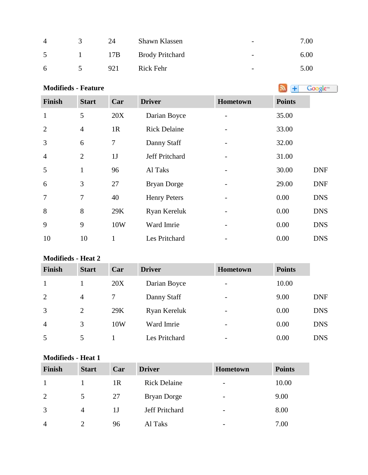| $\overline{A}$ | 24  | Shawn Klassen          | $\overline{\phantom{a}}$ | 7.00 |
|----------------|-----|------------------------|--------------------------|------|
| $\sim$         | 17B | <b>Brody Pritchard</b> | $\overline{\phantom{a}}$ | 6.00 |
| 6              | 921 | Rick Fehr              | $\overline{\phantom{0}}$ | 5.00 |

| <b>Modifieds - Feature</b> |  |  |
|----------------------------|--|--|
|                            |  |  |

| <b>Finish</b>  | <b>Start</b>   | Car          | <b>Driver</b>       | Hometown | <b>Points</b> |            |
|----------------|----------------|--------------|---------------------|----------|---------------|------------|
| $\mathbf{1}$   | 5              | 20X          | Darian Boyce        |          | 35.00         |            |
| $\overline{2}$ | $\overline{4}$ | 1R           | <b>Rick Delaine</b> |          | 33.00         |            |
| 3              | 6              | 7            | Danny Staff         |          | 32.00         |            |
| $\overline{4}$ | $\overline{2}$ | 1J           | Jeff Pritchard      |          | 31.00         |            |
| 5              | $\mathbf{1}$   | 96           | Al Taks             |          | 30.00         | <b>DNF</b> |
| 6              | 3              | 27           | <b>Bryan Dorge</b>  |          | 29.00         | <b>DNF</b> |
| $\overline{7}$ | 7              | 40           | <b>Henry Peters</b> | -        | 0.00          | <b>DNS</b> |
| 8              | 8              | 29K          | Ryan Kereluk        |          | 0.00          | <b>DNS</b> |
| 9              | 9              | 10W          | Ward Imrie          |          | 0.00          | <b>DNS</b> |
| 10             | 10             | $\mathbf{1}$ | Les Pritchard       |          | 0.00          | <b>DNS</b> |

### **Modifieds - Heat 2**

| <b>Finish</b>  | <b>Start</b>   | Car | <b>Driver</b> | <b>Hometown</b>          | <b>Points</b> |            |
|----------------|----------------|-----|---------------|--------------------------|---------------|------------|
|                |                | 20X | Darian Boyce  | -                        | 10.00         |            |
| $\overline{2}$ | $\overline{4}$ |     | Danny Staff   | $\overline{\phantom{a}}$ | 9.00          | <b>DNF</b> |
| 3              | $\overline{2}$ | 29K | Ryan Kereluk  | -                        | 0.00          | <b>DNS</b> |
| $\overline{4}$ | 3              | 10W | Ward Imrie    | -                        | 0.00          | <b>DNS</b> |
| 5              | 5              |     | Les Pritchard | $\overline{\phantom{a}}$ | 0.00          | <b>DNS</b> |

## **Modifieds - Heat 1**

| <b>Finish</b>  | <b>Start</b> | Car | <b>Driver</b>       | <b>Hometown</b>          | <b>Points</b> |
|----------------|--------------|-----|---------------------|--------------------------|---------------|
|                |              | 1R  | <b>Rick Delaine</b> | $\overline{\phantom{a}}$ | 10.00         |
| 2              |              | 27  | Bryan Dorge         | $\overline{\phantom{0}}$ | 9.00          |
| 3              | 4            | 1J  | Jeff Pritchard      | $\overline{\phantom{0}}$ | 8.00          |
| $\overline{4}$ |              | 96  | Al Taks             | $\overline{\phantom{0}}$ | 7.00          |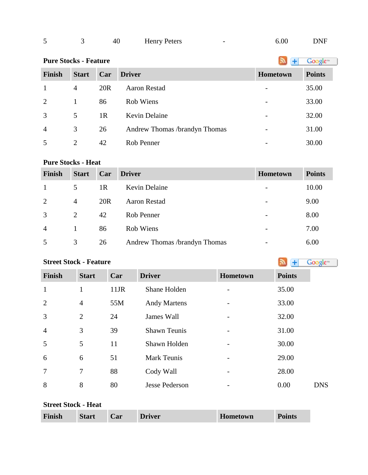| - |  | 40 | <b>Henry Peters</b><br>. |  | 6.00 | DNF |
|---|--|----|--------------------------|--|------|-----|
|---|--|----|--------------------------|--|------|-----|

# **PureStocks - Feature Algebra 2019 Constant 1 Constant 1 Constant 1 Constant 1 Constant 1 Constant 1 Constant 1 Constant 1 Constant 1 Constant 1 Constant 1 Constant 1 Constant 1 Constant 1**

| <b>Finish</b>  | <b>Start</b> | Car             | <b>Driver</b>                 | <b>Hometown</b> | <b>Points</b> |
|----------------|--------------|-----------------|-------------------------------|-----------------|---------------|
| 1              | 4            | 20 <sub>R</sub> | Aaron Restad                  |                 | 35.00         |
| 2              | 1            | 86              | Rob Wiens                     |                 | 33.00         |
| 3              | 5            | 1 <sub>R</sub>  | Kevin Delaine                 |                 | 32.00         |
| $\overline{4}$ | 3            | 26              | Andrew Thomas /brandyn Thomas | -               | 31.00         |
| -5             | 2            | 42              | Rob Penner                    |                 | 30.00         |

#### **Pure Stocks - Heat**

| <b>Finish</b>  | <b>Start</b>   | Car             | <b>Driver</b>                 | <b>Hometown</b>          | <b>Points</b> |
|----------------|----------------|-----------------|-------------------------------|--------------------------|---------------|
|                | 5              | 1R              | <b>Kevin Delaine</b>          |                          | 10.00         |
| 2              | $\overline{4}$ | 20 <sub>R</sub> | <b>Aaron Restad</b>           | $\overline{\phantom{0}}$ | 9.00          |
| 3              | 2              | 42              | Rob Penner                    |                          | 8.00          |
| $\overline{A}$ |                | 86              | Rob Wiens                     | -                        | 7.00          |
|                | 3              | 26              | Andrew Thomas /brandyn Thomas |                          | 6.00          |

## **StreetStock - Feature Street Stock - Feature**

| Finish         | <b>Start</b>   | Car     | <b>Driver</b>         | <b>Hometown</b> | <b>Points</b> |
|----------------|----------------|---------|-----------------------|-----------------|---------------|
| $\mathbf{1}$   | 1              | $11$ JR | Shane Holden          |                 | 35.00         |
| $\overline{2}$ | $\overline{4}$ | 55M     | <b>Andy Martens</b>   |                 | 33.00         |
| 3              | 2              | 24      | James Wall            |                 | 32.00         |
| $\overline{4}$ | 3              | 39      | <b>Shawn Teunis</b>   |                 | 31.00         |
| 5              | 5              | 11      | Shawn Holden          |                 | 30.00         |
| 6              | 6              | 51      | <b>Mark Teunis</b>    |                 | 29.00         |
| 7              | $\overline{7}$ | 88      | Cody Wall             |                 | 28.00         |
| 8              | 8              | 80      | <b>Jesse Pederson</b> |                 | 0.00          |

|  | Finish | <b>Start</b> | <b>Car</b> | <b>Driver</b> | Hometown | <b>Points</b> |  |
|--|--------|--------------|------------|---------------|----------|---------------|--|
|--|--------|--------------|------------|---------------|----------|---------------|--|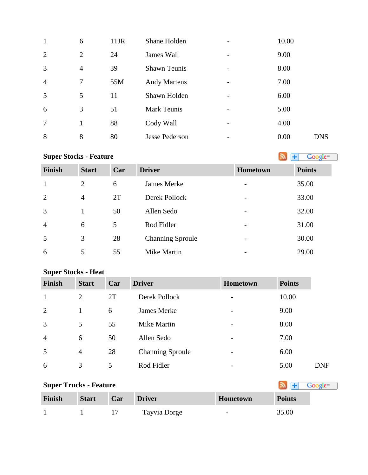| 1              | 6              | 11JR | Shane Holden          | 10.00 |            |
|----------------|----------------|------|-----------------------|-------|------------|
| $\overline{2}$ | $\overline{2}$ | 24   | James Wall            | 9.00  |            |
| 3              | $\overline{4}$ | 39   | <b>Shawn Teunis</b>   | 8.00  |            |
| $\overline{4}$ | 7              | 55M  | <b>Andy Martens</b>   | 7.00  |            |
| 5              | 5              | 11   | Shawn Holden          | 6.00  |            |
| 6              | 3              | 51   | <b>Mark Teunis</b>    | 5.00  |            |
| $\overline{7}$ |                | 88   | Cody Wall             | 4.00  |            |
| 8              | 8              | 80   | <b>Jesse Pederson</b> | 0.00  | <b>DNS</b> |

# **SuperStocks - Feature Super Stocks** - **Feature**

Google<sup>\*</sup>

| <b>Finish</b>  | <b>Start</b> | Car | <b>Driver</b>           | <b>Hometown</b>          | <b>Points</b> |
|----------------|--------------|-----|-------------------------|--------------------------|---------------|
| 1              | 2            | 6   | James Merke             | $\overline{\phantom{a}}$ | 35.00         |
| 2              | 4            | 2T  | Derek Pollock           | $\overline{\phantom{a}}$ | 33.00         |
| 3              |              | 50  | Allen Sedo              | $\overline{\phantom{a}}$ | 32.00         |
| $\overline{4}$ | 6            | 5   | Rod Fidler              | $\overline{\phantom{a}}$ | 31.00         |
| 5              | 3            | 28  | <b>Channing Sproule</b> | $\overline{\phantom{0}}$ | 30.00         |
| 6              | 5            | 55  | Mike Martin             | $\overline{\phantom{a}}$ | 29.00         |

## **Super Stocks - Heat**

| <b>Finish</b>  | <b>Start</b>   | Car | <b>Driver</b>           | <b>Hometown</b>          | <b>Points</b> |            |
|----------------|----------------|-----|-------------------------|--------------------------|---------------|------------|
| $\mathbf{1}$   | 2              | 2T  | Derek Pollock           |                          | 10.00         |            |
| $\overline{2}$ |                | 6   | James Merke             | $\overline{\phantom{a}}$ | 9.00          |            |
| 3              | 5              | 55  | Mike Martin             |                          | 8.00          |            |
| $\overline{4}$ | 6              | 50  | Allen Sedo              | $\overline{\phantom{0}}$ | 7.00          |            |
| 5              | $\overline{4}$ | 28  | <b>Channing Sproule</b> | $\overline{\phantom{0}}$ | 6.00          |            |
| 6              | 3              | 5   | Rod Fidler              | -                        | 5.00          | <b>DNF</b> |

| <b>Super Trucks - Feature</b> | Google <sup>m</sup> |     |               |                          |               |
|-------------------------------|---------------------|-----|---------------|--------------------------|---------------|
| Finish                        | <b>Start</b>        | Car | <b>Driver</b> | <b>Hometown</b>          | <b>Points</b> |
|                               |                     |     | Tayvia Dorge  | $\overline{\phantom{0}}$ | 35.00         |